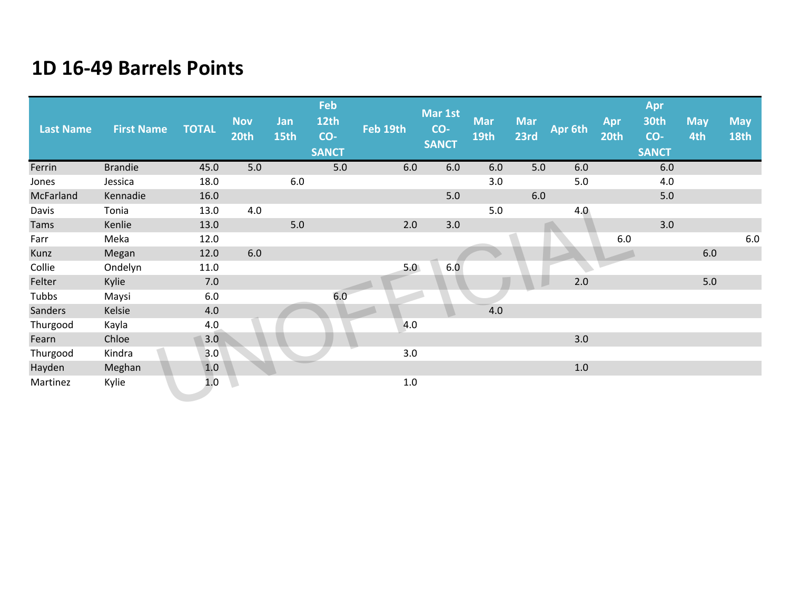| <b>Last Name</b> | <b>First Name</b> | <b>TOTAL</b> | <b>Nov</b><br>20th | Jan<br>15th | Feb<br><b>12th</b><br>CO-<br><b>SANCT</b> | Feb 19th | Mar 1st<br>CO-<br><b>SANCT</b> | <b>Mar</b><br>19th | <b>Mar</b><br>23rd | Apr 6th | Apr<br>20th | Apr<br>30th<br>CO-<br><b>SANCT</b> | <b>May</b><br>4th | <b>May</b><br><b>18th</b> |
|------------------|-------------------|--------------|--------------------|-------------|-------------------------------------------|----------|--------------------------------|--------------------|--------------------|---------|-------------|------------------------------------|-------------------|---------------------------|
| Ferrin           | <b>Brandie</b>    | 45.0         | 5.0                |             | 5.0                                       | 6.0      | 6.0                            | 6.0                | 5.0                | 6.0     |             | 6.0                                |                   |                           |
| Jones            | Jessica           | 18.0         |                    | 6.0         |                                           |          |                                | 3.0                |                    | 5.0     |             | 4.0                                |                   |                           |
| McFarland        | Kennadie          | 16.0         |                    |             |                                           |          | $5.0$                          |                    | 6.0                |         |             | 5.0                                |                   |                           |
| Davis            | Tonia             | 13.0         | 4.0                |             |                                           |          |                                | $5.0$              |                    | 4.0     |             |                                    |                   |                           |
| Tams             | Kenlie            | 13.0         |                    | 5.0         |                                           | 2.0      | 3.0                            |                    |                    |         |             | 3.0                                |                   |                           |
| Farr             | Meka              | 12.0         |                    |             |                                           |          |                                |                    |                    |         | 6.0         |                                    |                   | $6.0\,$                   |
| Kunz             | Megan             | 12.0         | 6.0                |             |                                           |          |                                |                    |                    |         |             |                                    | $6.0\,$           |                           |
| Collie           | Ondelyn           | 11.0         |                    |             |                                           | 5.0      | 6.0                            |                    |                    |         |             |                                    |                   |                           |
| Felter           | Kylie             | 7.0          |                    |             |                                           |          |                                |                    |                    | 2.0     |             |                                    | $5.0$             |                           |
| Tubbs            | Maysi             | 6.0          |                    |             | 6.0                                       |          |                                |                    |                    |         |             |                                    |                   |                           |
| Sanders          | Kelsie            | 4.0          |                    |             |                                           |          |                                | 4.0                |                    |         |             |                                    |                   |                           |
| Thurgood         | Kayla             | 4.0          |                    |             |                                           | 4.0      |                                |                    |                    |         |             |                                    |                   |                           |
| Fearn            | Chloe             | 3.0          |                    |             |                                           |          |                                |                    |                    | 3.0     |             |                                    |                   |                           |
| Thurgood         | Kindra            | 3.0          |                    |             |                                           | 3.0      |                                |                    |                    |         |             |                                    |                   |                           |
| Hayden           | Meghan            | 1.0          |                    |             |                                           |          |                                |                    |                    | 1.0     |             |                                    |                   |                           |
| Martinez         | Kylie             | 1.0          |                    |             |                                           | 1.0      |                                |                    |                    |         |             |                                    |                   |                           |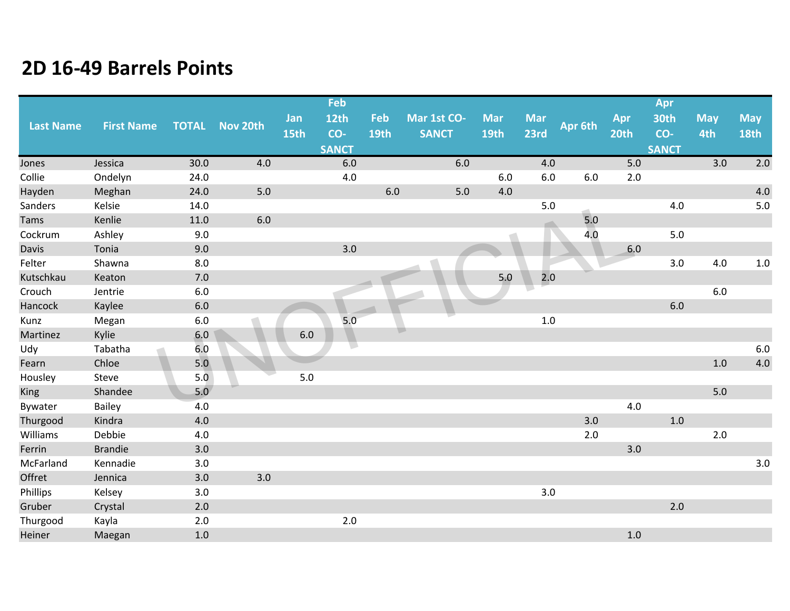|                  |                   |              |          |             | Feb          |                    |                             |                    |                    |         |             | Apr          |                   |                           |
|------------------|-------------------|--------------|----------|-------------|--------------|--------------------|-----------------------------|--------------------|--------------------|---------|-------------|--------------|-------------------|---------------------------|
| <b>Last Name</b> | <b>First Name</b> | <b>TOTAL</b> | Nov 20th | Jan<br>15th | 12th<br>CO-  | Feb<br><b>19th</b> | Mar 1st CO-<br><b>SANCT</b> | <b>Mar</b><br>19th | <b>Mar</b><br>23rd | Apr 6th | Apr<br>20th | 30th<br>CO-  | <b>May</b><br>4th | <b>May</b><br><b>18th</b> |
|                  |                   |              |          |             | <b>SANCT</b> |                    |                             |                    |                    |         |             | <b>SANCT</b> |                   |                           |
| Jones            | Jessica           | 30.0         | 4.0      |             | 6.0          |                    | 6.0                         |                    | 4.0                |         | 5.0         |              | 3.0               | 2.0                       |
| Collie           | Ondelyn           | 24.0         |          |             | $4.0\,$      |                    |                             | 6.0                | 6.0                | 6.0     | 2.0         |              |                   |                           |
| Hayden           | Meghan            | 24.0         | 5.0      |             |              | 6.0                | 5.0                         | 4.0                |                    |         |             |              |                   | 4.0                       |
| Sanders          | Kelsie            | 14.0         |          |             |              |                    |                             |                    | 5.0                |         |             | 4.0          |                   | $5.0$                     |
| Tams             | Kenlie            | 11.0         | $6.0\,$  |             |              |                    |                             |                    |                    | 5.0     |             |              |                   |                           |
| Cockrum          | Ashley            | 9.0          |          |             |              |                    |                             |                    |                    | 4.0     |             | 5.0          |                   |                           |
| Davis            | Tonia             | 9.0          |          |             | 3.0          |                    |                             |                    |                    |         | 6.0         |              |                   |                           |
| Felter           | Shawna            | 8.0          |          |             |              |                    |                             |                    |                    |         |             | 3.0          | 4.0               | $1.0\,$                   |
| Kutschkau        | Keaton            | 7.0          |          |             |              |                    |                             | 5.0                | 2.0                |         |             |              |                   |                           |
| Crouch           | Jentrie           | 6.0          |          |             |              |                    |                             |                    |                    |         |             |              | 6.0               |                           |
| Hancock          | Kaylee            | $6.0$        |          |             |              |                    |                             |                    |                    |         |             | 6.0          |                   |                           |
| Kunz             | Megan             | 6.0          |          |             | 5.0          |                    |                             |                    | $1.0\,$            |         |             |              |                   |                           |
| Martinez         | Kylie             | 6.0          |          | $6.0\,$     |              |                    | $\Box$                      |                    |                    |         |             |              |                   |                           |
| Udy              | Tabatha           | 6.0          |          |             |              |                    |                             |                    |                    |         |             |              |                   | $6.0\,$                   |
| Fearn            | Chloe             | 5.0          |          |             |              |                    |                             |                    |                    |         |             |              | 1.0               | $4.0\,$                   |
| Housley          | Steve             | 5.0          |          | $5.0$       |              |                    |                             |                    |                    |         |             |              |                   |                           |
| King             | Shandee           | 5.0          |          |             |              |                    |                             |                    |                    |         |             |              | 5.0               |                           |
| Bywater          | <b>Bailey</b>     | 4.0          |          |             |              |                    |                             |                    |                    |         | 4.0         |              |                   |                           |
| Thurgood         | Kindra            | 4.0          |          |             |              |                    |                             |                    |                    | 3.0     |             | $1.0$        |                   |                           |
| Williams         | Debbie            | 4.0          |          |             |              |                    |                             |                    |                    | 2.0     |             |              | 2.0               |                           |
| Ferrin           | <b>Brandie</b>    | 3.0          |          |             |              |                    |                             |                    |                    |         | 3.0         |              |                   |                           |
| McFarland        | Kennadie          | 3.0          |          |             |              |                    |                             |                    |                    |         |             |              |                   | 3.0                       |
| Offret           | Jennica           | 3.0          | 3.0      |             |              |                    |                             |                    |                    |         |             |              |                   |                           |
| Phillips         | Kelsey            | 3.0          |          |             |              |                    |                             |                    | 3.0                |         |             |              |                   |                           |
| Gruber           | Crystal           | 2.0          |          |             |              |                    |                             |                    |                    |         |             | 2.0          |                   |                           |
| Thurgood         | Kayla             | $2.0$        |          |             | $2.0$        |                    |                             |                    |                    |         |             |              |                   |                           |
| Heiner           | Maegan            | $1.0\,$      |          |             |              |                    |                             |                    |                    |         | 1.0         |              |                   |                           |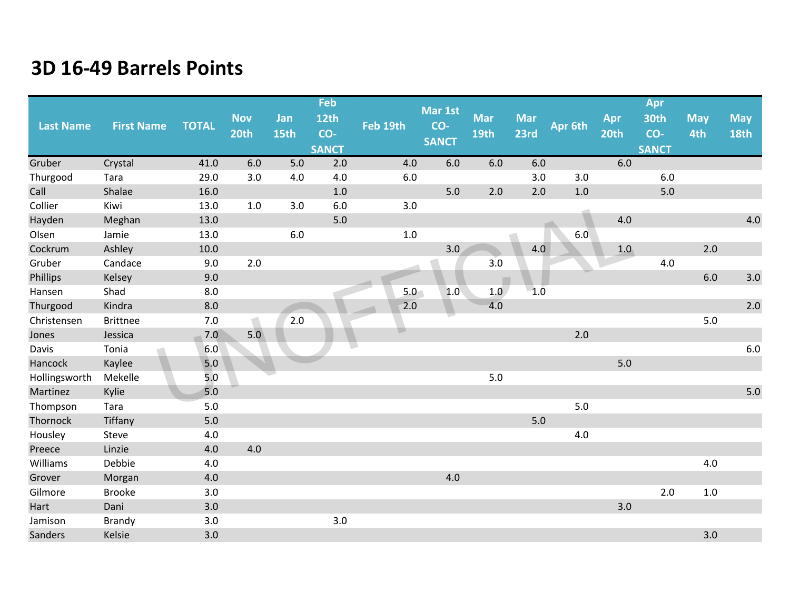|                  |                   |              |            |      | Feb          |          | Mar 1st      |            |            |         |      | Apr          |            |             |
|------------------|-------------------|--------------|------------|------|--------------|----------|--------------|------------|------------|---------|------|--------------|------------|-------------|
| <b>Last Name</b> | <b>First Name</b> | <b>TOTAL</b> | <b>Nov</b> | Jan  | 12th         | Feb 19th | CO-          | <b>Mar</b> | <b>Mar</b> | Apr 6th | Apr  | 30th         | <b>May</b> | <b>May</b>  |
|                  |                   |              | 20th       | 15th | CO-          |          | <b>SANCT</b> | 19th       | 23rd       |         | 20th | CO-          | 4th        | <b>18th</b> |
|                  |                   |              |            |      | <b>SANCT</b> |          |              |            |            |         |      | <b>SANCT</b> |            |             |
| Gruber           | Crystal           | 41.0         | 6.0        | 5.0  | 2.0          | 4.0      | 6.0          | 6.0        | 6.0        |         | 6.0  |              |            |             |
| Thurgood         | Tara              | 29.0         | 3.0        | 4.0  | 4.0          | 6.0      |              |            | 3.0        | 3.0     |      | 6.0          |            |             |
| Call             | Shalae            | 16.0         |            |      | 1.0          |          | 5.0          | 2.0        | 2.0        | $1.0$   |      | 5.0          |            |             |
| Collier          | Kiwi              | 13.0         | 1.0        | 3.0  | 6.0          | 3.0      |              |            |            |         |      |              |            |             |
| Hayden           | Meghan            | 13.0         |            |      | 5.0          |          |              |            |            |         | 4.0  |              |            | 4.0         |
| Olsen            | Jamie             | 13.0         |            | 6.0  |              | $1.0\,$  |              |            |            | 6.0     |      |              |            |             |
| Cockrum          | Ashley            | 10.0         |            |      |              |          | 3.0          |            | 4.0        |         | 1.0  |              | 2.0        |             |
| Gruber           | Candace           | 9.0          | 2.0        |      |              |          |              | 3.0        |            |         |      | 4.0          |            |             |
| Phillips         | Kelsey            | 9.0          |            |      |              |          |              |            |            |         |      |              | 6.0        | 3.0         |
| Hansen           | Shad              | 8.0          |            |      |              | 5.0      | 1.0          | 1.0        | $-1.0$     |         |      |              |            |             |
| Thurgood         | Kindra            | 8.0          |            |      |              | 2.0      |              | 4.0        |            |         |      |              |            | 2.0         |
| Christensen      | <b>Brittnee</b>   | 7.0          |            | 2.0  |              |          |              |            |            |         |      |              | 5.0        |             |
| Jones            | Jessica           | 7.0          | 5.0        |      |              |          |              |            |            | 2.0     |      |              |            |             |
| Davis            | Tonia             | 6.0          |            |      |              |          |              |            |            |         |      |              |            | $6.0$       |
| Hancock          | Kaylee            | 5.0          |            |      |              |          |              |            |            |         | 5.0  |              |            |             |
| Hollingsworth    | Mekelle           | 5.0          |            |      |              |          |              | $5.0$      |            |         |      |              |            |             |
| Martinez         | Kylie             | 5.0          |            |      |              |          |              |            |            |         |      |              |            | 5.0         |
| Thompson         | Tara              | 5.0          |            |      |              |          |              |            |            | 5.0     |      |              |            |             |
| Thornock         | Tiffany           | $5.0$        |            |      |              |          |              |            | 5.0        |         |      |              |            |             |
| Housley          | Steve             | 4.0          |            |      |              |          |              |            |            | 4.0     |      |              |            |             |
| Preece           | Linzie            | 4.0          | 4.0        |      |              |          |              |            |            |         |      |              |            |             |
| Williams         | Debbie            | 4.0          |            |      |              |          |              |            |            |         |      |              | 4.0        |             |
| Grover           | Morgan            | 4.0          |            |      |              |          | 4.0          |            |            |         |      |              |            |             |
| Gilmore          | <b>Brooke</b>     | 3.0          |            |      |              |          |              |            |            |         |      | 2.0          | $1.0\,$    |             |
| Hart             | Dani              | 3.0          |            |      |              |          |              |            |            |         | 3.0  |              |            |             |
| Jamison          | <b>Brandy</b>     | 3.0          |            |      | 3.0          |          |              |            |            |         |      |              |            |             |
| Sanders          | Kelsie            | 3.0          |            |      |              |          |              |            |            |         |      |              | 3.0        |             |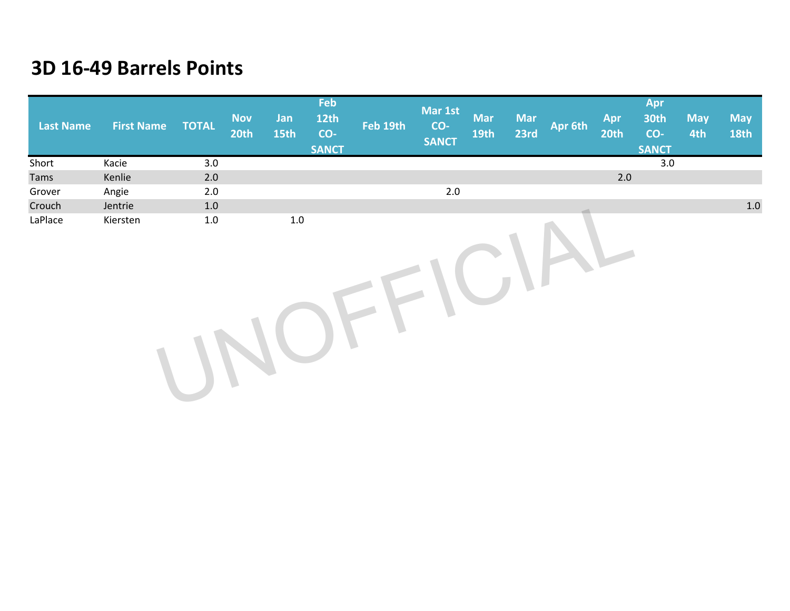| <b>Last Name</b> | <b>First Name</b> | <b>TOTAL</b> | <b>Nov</b><br><b>20th</b> | Jan<br>15th | Feb<br><b>12th</b><br>CO-<br><b>SANCT</b> | Feb 19th | Mar 1st<br>CO-<br><b>SANCT</b> | <b>Mar</b><br><b>19th</b> | <b>Mar</b><br>23rd | Apr 6th | Apr<br>20th | Apr<br><b>30th</b><br>CO-<br><b>SANCT</b> | <b>May</b><br>4th | <b>May</b><br><b>18th</b> |
|------------------|-------------------|--------------|---------------------------|-------------|-------------------------------------------|----------|--------------------------------|---------------------------|--------------------|---------|-------------|-------------------------------------------|-------------------|---------------------------|
| Short            | Kacie             | 3.0          |                           |             |                                           |          |                                |                           |                    |         |             | 3.0                                       |                   |                           |
| Tams             | Kenlie            | 2.0          |                           |             |                                           |          |                                |                           |                    |         | $2.0\,$     |                                           |                   |                           |
| Grover           | Angie             | 2.0          |                           |             |                                           |          | $2.0\,$                        |                           |                    |         |             |                                           |                   |                           |
| Crouch           | Jentrie           | 1.0          |                           |             |                                           |          |                                |                           |                    |         |             |                                           |                   | 1.0                       |
| LaPlace          | Kiersten          | $1.0\,$      |                           | $1.0\,$     |                                           |          |                                |                           |                    |         |             |                                           |                   |                           |